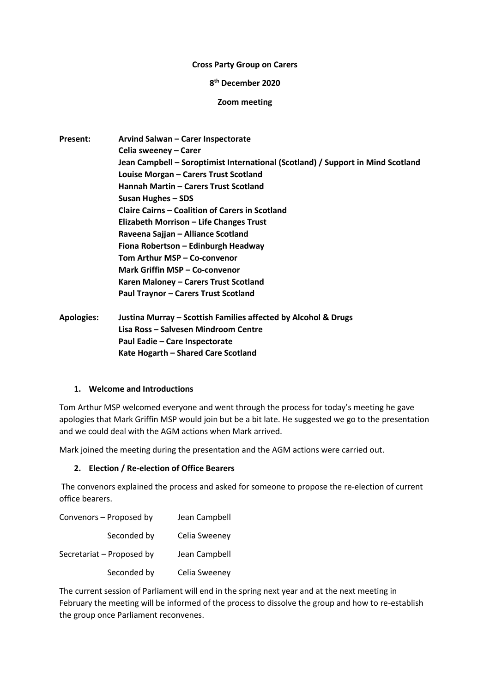#### **Cross Party Group on Carers**

### **8 th December 2020**

#### **Zoom meeting**

| <b>Present:</b>   | Arvind Salwan - Carer Inspectorate                                              |
|-------------------|---------------------------------------------------------------------------------|
|                   | Celia sweeney – Carer                                                           |
|                   | Jean Campbell – Soroptimist International (Scotland) / Support in Mind Scotland |
|                   | Louise Morgan - Carers Trust Scotland                                           |
|                   | Hannah Martin - Carers Trust Scotland                                           |
|                   | Susan Hughes – SDS                                                              |
|                   | <b>Claire Cairns - Coalition of Carers in Scotland</b>                          |
|                   | <b>Elizabeth Morrison - Life Changes Trust</b>                                  |
|                   | Raveena Sajjan - Alliance Scotland                                              |
|                   | Fiona Robertson - Edinburgh Headway                                             |
|                   | Tom Arthur MSP – Co-convenor                                                    |
|                   | Mark Griffin MSP - Co-convenor                                                  |
|                   | Karen Maloney - Carers Trust Scotland                                           |
|                   | Paul Traynor - Carers Trust Scotland                                            |
| <b>Apologies:</b> | Justina Murray – Scottish Families affected by Alcohol & Drugs                  |
|                   | Lisa Ross – Salvesen Mindroom Centre                                            |
|                   | Paul Eadie - Care Inspectorate                                                  |

### **1. Welcome and Introductions**

Tom Arthur MSP welcomed everyone and went through the process for today's meeting he gave apologies that Mark Griffin MSP would join but be a bit late. He suggested we go to the presentation and we could deal with the AGM actions when Mark arrived.

Mark joined the meeting during the presentation and the AGM actions were carried out.

**Kate Hogarth – Shared Care Scotland**

### **2. Election / Re-election of Office Bearers**

The convenors explained the process and asked for someone to propose the re-election of current office bearers.

| Convenors - Proposed by   | Jean Campbell |
|---------------------------|---------------|
| Seconded by               | Celia Sweeney |
| Secretariat - Proposed by | Jean Campbell |
| Seconded by               | Celia Sweeney |

The current session of Parliament will end in the spring next year and at the next meeting in February the meeting will be informed of the process to dissolve the group and how to re-establish the group once Parliament reconvenes.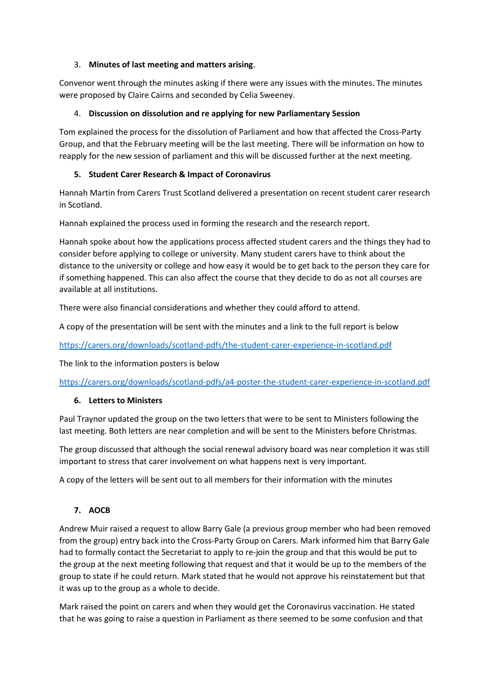### 3. **Minutes of last meeting and matters arising**.

Convenor went through the minutes asking if there were any issues with the minutes. The minutes were proposed by Claire Cairns and seconded by Celia Sweeney.

### 4. **Discussion on dissolution and re applying for new Parliamentary Session**

Tom explained the process for the dissolution of Parliament and how that affected the Cross-Party Group, and that the February meeting will be the last meeting. There will be information on how to reapply for the new session of parliament and this will be discussed further at the next meeting.

# **5. Student Carer Research & Impact of Coronavirus**

Hannah Martin from Carers Trust Scotland delivered a presentation on recent student carer research in Scotland.

Hannah explained the process used in forming the research and the research report.

Hannah spoke about how the applications process affected student carers and the things they had to consider before applying to college or university. Many student carers have to think about the distance to the university or college and how easy it would be to get back to the person they care for if something happened. This can also affect the course that they decide to do as not all courses are available at all institutions.

There were also financial considerations and whether they could afford to attend.

A copy of the presentation will be sent with the minutes and a link to the full report is below

<https://carers.org/downloads/scotland-pdfs/the-student-carer-experience-in-scotland.pdf>

The link to the information posters is below

<https://carers.org/downloads/scotland-pdfs/a4-poster-the-student-carer-experience-in-scotland.pdf>

### **6. Letters to Ministers**

Paul Traynor updated the group on the two letters that were to be sent to Ministers following the last meeting. Both letters are near completion and will be sent to the Ministers before Christmas.

The group discussed that although the social renewal advisory board was near completion it was still important to stress that carer involvement on what happens next is very important.

A copy of the letters will be sent out to all members for their information with the minutes

# **7. AOCB**

Andrew Muir raised a request to allow Barry Gale (a previous group member who had been removed from the group) entry back into the Cross-Party Group on Carers. Mark informed him that Barry Gale had to formally contact the Secretariat to apply to re-join the group and that this would be put to the group at the next meeting following that request and that it would be up to the members of the group to state if he could return. Mark stated that he would not approve his reinstatement but that it was up to the group as a whole to decide.

Mark raised the point on carers and when they would get the Coronavirus vaccination. He stated that he was going to raise a question in Parliament as there seemed to be some confusion and that